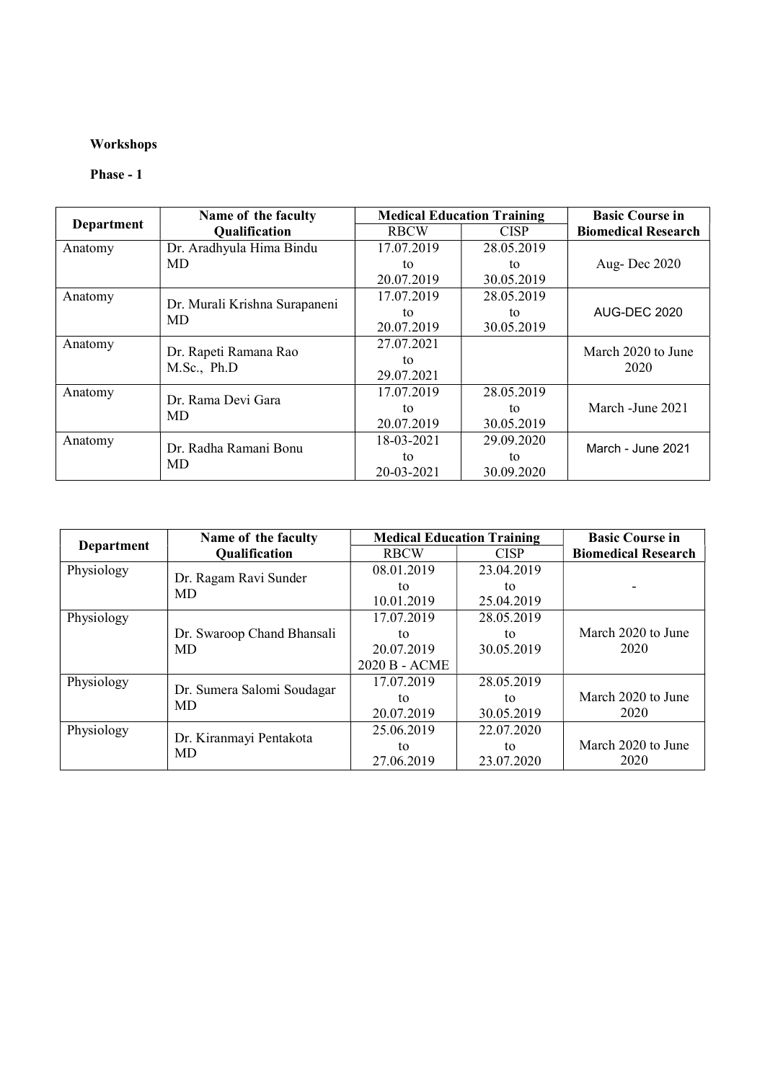### Workshops

#### Phase - 1

|                   | Name of the faculty                  |             | <b>Medical Education Training</b> | <b>Basic Course in</b>     |
|-------------------|--------------------------------------|-------------|-----------------------------------|----------------------------|
| <b>Department</b> | <b>Qualification</b>                 | <b>RBCW</b> | <b>CISP</b>                       | <b>Biomedical Research</b> |
| Anatomy           | Dr. Aradhyula Hima Bindu             | 17.07.2019  | 28.05.2019                        |                            |
|                   | MD.                                  | tο          | tο                                | Aug-Dec 2020               |
|                   |                                      | 20.07.2019  | 30.05.2019                        |                            |
| Anatomy           | Dr. Murali Krishna Surapaneni        | 17.07.2019  | 28.05.2019                        |                            |
|                   | <b>MD</b>                            | to          | to                                | <b>AUG-DEC 2020</b>        |
|                   |                                      | 20.07.2019  | 30.05.2019                        |                            |
| Anatomy           |                                      | 27.07.2021  |                                   | March 2020 to June         |
|                   | Dr. Rapeti Ramana Rao<br>M.Sc., Ph.D | tο          |                                   | 2020                       |
|                   |                                      | 29.07.2021  |                                   |                            |
| Anatomy           | Dr. Rama Devi Gara                   | 17.07.2019  | 28.05.2019                        |                            |
|                   | MD.                                  | to          | tο                                | March - June 2021          |
|                   |                                      | 20.07.2019  | 30.05.2019                        |                            |
| Anatomy           | Dr. Radha Ramani Bonu                | 18-03-2021  | 29.09.2020                        | March - June 2021          |
|                   | <b>MD</b>                            | tο          | tο                                |                            |
|                   |                                      | 20-03-2021  | 30.09.2020                        |                            |

|            | Name of the faculty        | <b>Medical Education Training</b> |             | <b>Basic Course in</b>     |
|------------|----------------------------|-----------------------------------|-------------|----------------------------|
| Department | <b>Qualification</b>       | <b>RBCW</b>                       | <b>CISP</b> | <b>Biomedical Research</b> |
| Physiology |                            | 08.01.2019                        | 23.04.2019  |                            |
|            | Dr. Ragam Ravi Sunder      | tο                                | to          |                            |
|            | <b>MD</b>                  | 10.01.2019                        | 25.04.2019  |                            |
| Physiology |                            | 17.07.2019                        | 28.05.2019  |                            |
|            | Dr. Swaroop Chand Bhansali | tο                                | tο          | March 2020 to June         |
|            | <b>MD</b>                  | 20.07.2019                        | 30.05.2019  | 2020                       |
|            |                            | 2020 B - ACME                     |             |                            |
| Physiology | Dr. Sumera Salomi Soudagar | 17.07.2019                        | 28.05.2019  |                            |
|            | <b>MD</b>                  | tο                                | tο          | March 2020 to June         |
|            |                            | 20.07.2019                        | 30.05.2019  | 2020                       |
| Physiology | Dr. Kiranmayi Pentakota    | 25.06.2019                        | 22.07.2020  |                            |
|            | MD                         | to                                | to          | March 2020 to June         |
|            |                            | 27.06.2019                        | 23.07.2020  | 2020                       |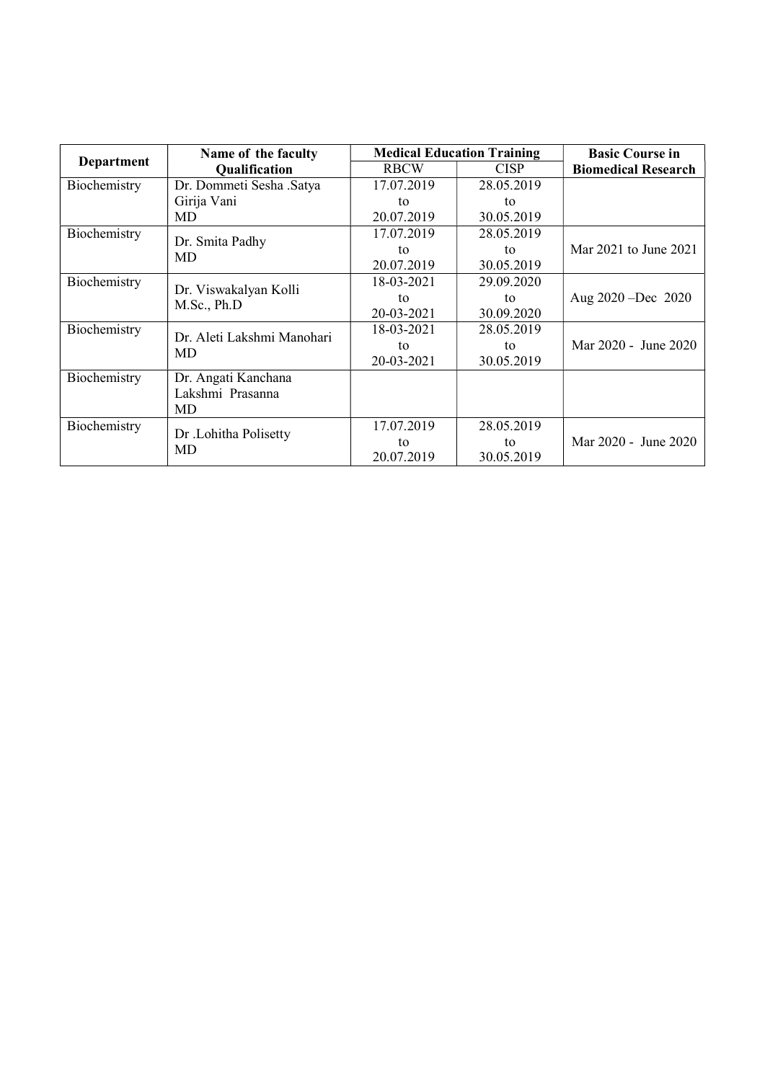|              | Name of the faculty        | <b>Medical Education Training</b> |             | <b>Basic Course in</b>     |
|--------------|----------------------------|-----------------------------------|-------------|----------------------------|
| Department   | <b>Qualification</b>       | <b>RBCW</b>                       | <b>CISP</b> | <b>Biomedical Research</b> |
| Biochemistry | Dr. Dommeti Sesha .Satya   | 17.07.2019                        | 28.05.2019  |                            |
|              | Girija Vani                | to                                | to          |                            |
|              | MD                         | 20.07.2019                        | 30.05.2019  |                            |
| Biochemistry |                            | 17.07.2019                        | 28.05.2019  |                            |
|              | Dr. Smita Padhy<br>MD      | to                                | to          | Mar 2021 to June 2021      |
|              |                            | 20.07.2019                        | 30.05.2019  |                            |
| Biochemistry |                            | 18-03-2021                        | 29.09.2020  |                            |
|              | Dr. Viswakalyan Kolli      | to                                | to          | Aug $2020 - Dec$ 2020      |
|              | M.Sc., Ph.D                | 20-03-2021                        | 30.09.2020  |                            |
| Biochemistry |                            | 18-03-2021                        | 28.05.2019  |                            |
|              | Dr. Aleti Lakshmi Manohari | to                                | to          | Mar 2020 - June 2020       |
|              | MD                         | 20-03-2021                        | 30.05.2019  |                            |
| Biochemistry | Dr. Angati Kanchana        |                                   |             |                            |
|              | Lakshmi Prasanna           |                                   |             |                            |
|              | <b>MD</b>                  |                                   |             |                            |
| Biochemistry | Dr .Lohitha Polisetty      | 17.07.2019                        | 28.05.2019  |                            |
|              | MD                         | to                                | to          | Mar 2020 - June 2020       |
|              |                            | 20.07.2019                        | 30.05.2019  |                            |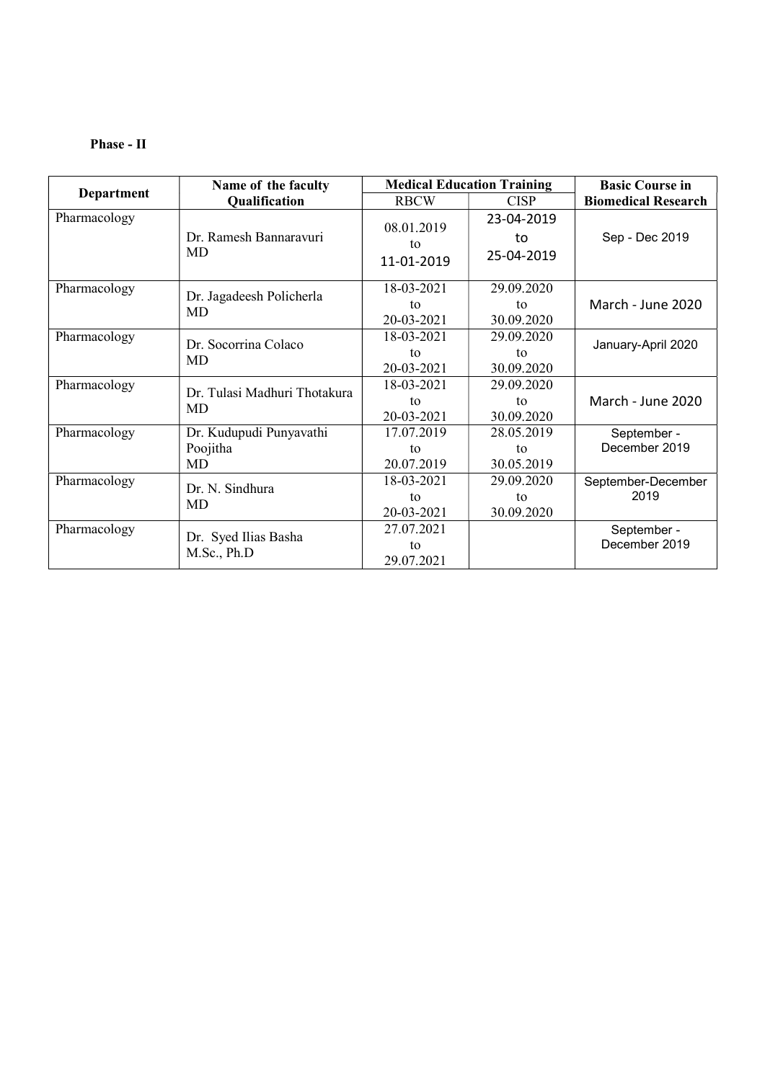#### Phase - II

|              | Name of the faculty            |                  | <b>Medical Education Training</b> | <b>Basic Course in</b>     |
|--------------|--------------------------------|------------------|-----------------------------------|----------------------------|
| Department   | <b>Qualification</b>           | <b>RBCW</b>      | <b>CISP</b>                       | <b>Biomedical Research</b> |
| Pharmacology |                                |                  | 23-04-2019                        |                            |
|              | Dr. Ramesh Bannaravuri         | 08.01.2019<br>to | to                                | Sep - Dec 2019             |
|              | MD                             | 11-01-2019       | 25-04-2019                        |                            |
|              |                                |                  |                                   |                            |
| Pharmacology |                                | 18-03-2021       | 29.09.2020                        |                            |
|              | Dr. Jagadeesh Policherla<br>MD | to               | to                                | March - June 2020          |
|              |                                | 20-03-2021       | 30.09.2020                        |                            |
| Pharmacology | Dr. Socorrina Colaco           | 18-03-2021       | 29.09.2020                        | January-April 2020         |
|              | MD                             | to               | to                                |                            |
|              |                                | 20-03-2021       | 30.09.2020                        |                            |
| Pharmacology | Dr. Tulasi Madhuri Thotakura   | 18-03-2021       | 29.09.2020                        |                            |
|              | <b>MD</b>                      | to               | to                                | March - June 2020          |
|              |                                | 20-03-2021       | 30.09.2020                        |                            |
| Pharmacology | Dr. Kudupudi Punyavathi        | 17.07.2019       | 28.05.2019                        | September -                |
|              | Poojitha                       | to               | to                                | December 2019              |
|              | MD                             | 20.07.2019       | 30.05.2019                        |                            |
| Pharmacology | Dr. N. Sindhura                | 18-03-2021       | 29.09.2020                        | September-December         |
|              | MD                             | to               | to                                | 2019                       |
|              |                                | 20-03-2021       | 30.09.2020                        |                            |
| Pharmacology | Dr. Syed Ilias Basha           | 27.07.2021       |                                   | September -                |
|              | M.Sc., Ph.D                    | to               |                                   | December 2019              |
|              |                                | 29.07.2021       |                                   |                            |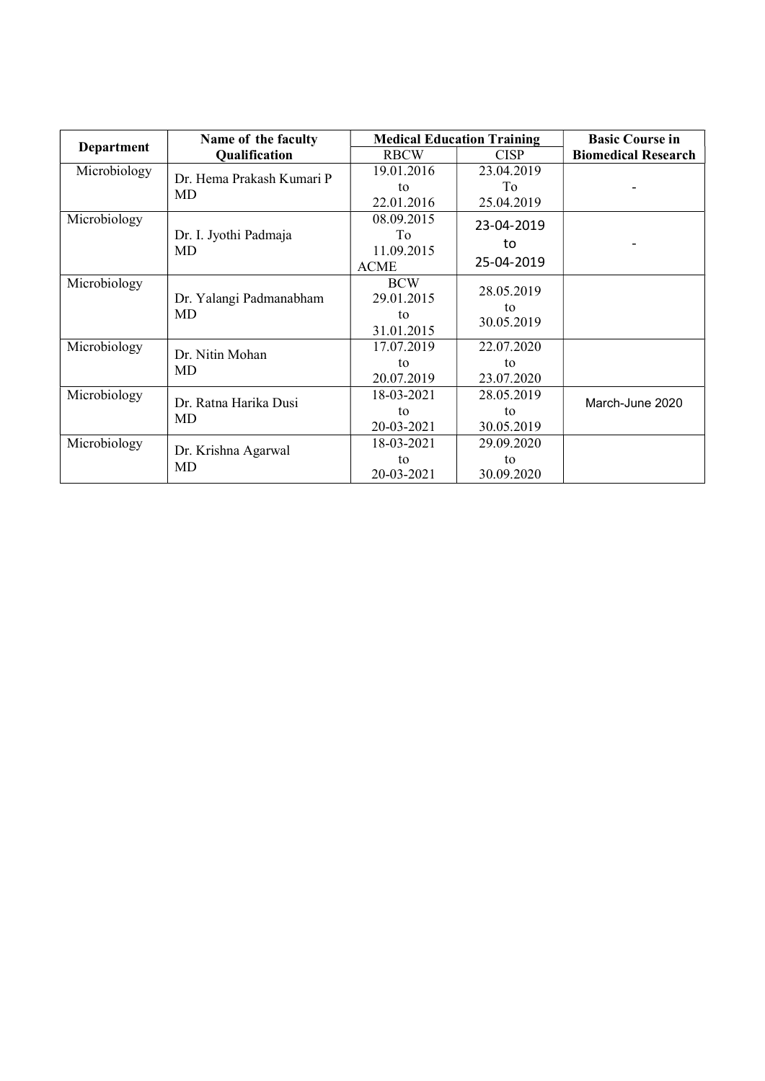|                   | Name of the faculty       | <b>Medical Education Training</b> |             | <b>Basic Course in</b>     |
|-------------------|---------------------------|-----------------------------------|-------------|----------------------------|
| <b>Department</b> | Qualification             | <b>RBCW</b>                       | <b>CISP</b> | <b>Biomedical Research</b> |
| Microbiology      | Dr. Hema Prakash Kumari P | 19.01.2016                        | 23.04.2019  |                            |
|                   | MD                        | to                                | To          |                            |
|                   |                           | 22.01.2016                        | 25.04.2019  |                            |
| Microbiology      |                           | 08.09.2015                        | 23-04-2019  |                            |
|                   | Dr. I. Jyothi Padmaja     | To                                |             |                            |
|                   | <b>MD</b>                 | 11.09.2015                        | to          |                            |
|                   |                           | <b>ACME</b>                       | 25-04-2019  |                            |
| Microbiology      |                           | <b>BCW</b>                        | 28.05.2019  |                            |
|                   | Dr. Yalangi Padmanabham   | 29.01.2015                        | to          |                            |
|                   | MD                        | to                                | 30.05.2019  |                            |
|                   |                           | 31.01.2015                        |             |                            |
| Microbiology      | Dr. Nitin Mohan           | 17.07.2019                        | 22.07.2020  |                            |
|                   | MD                        | to                                | to          |                            |
|                   |                           | 20.07.2019                        | 23.07.2020  |                            |
| Microbiology      | Dr. Ratna Harika Dusi     | 18-03-2021                        | 28.05.2019  | March-June 2020            |
|                   | MD                        | to                                | to          |                            |
|                   |                           | 20-03-2021                        | 30.05.2019  |                            |
| Microbiology      | Dr. Krishna Agarwal       | 18-03-2021                        | 29.09.2020  |                            |
|                   | MD                        | to                                | to          |                            |
|                   |                           | 20-03-2021                        | 30.09.2020  |                            |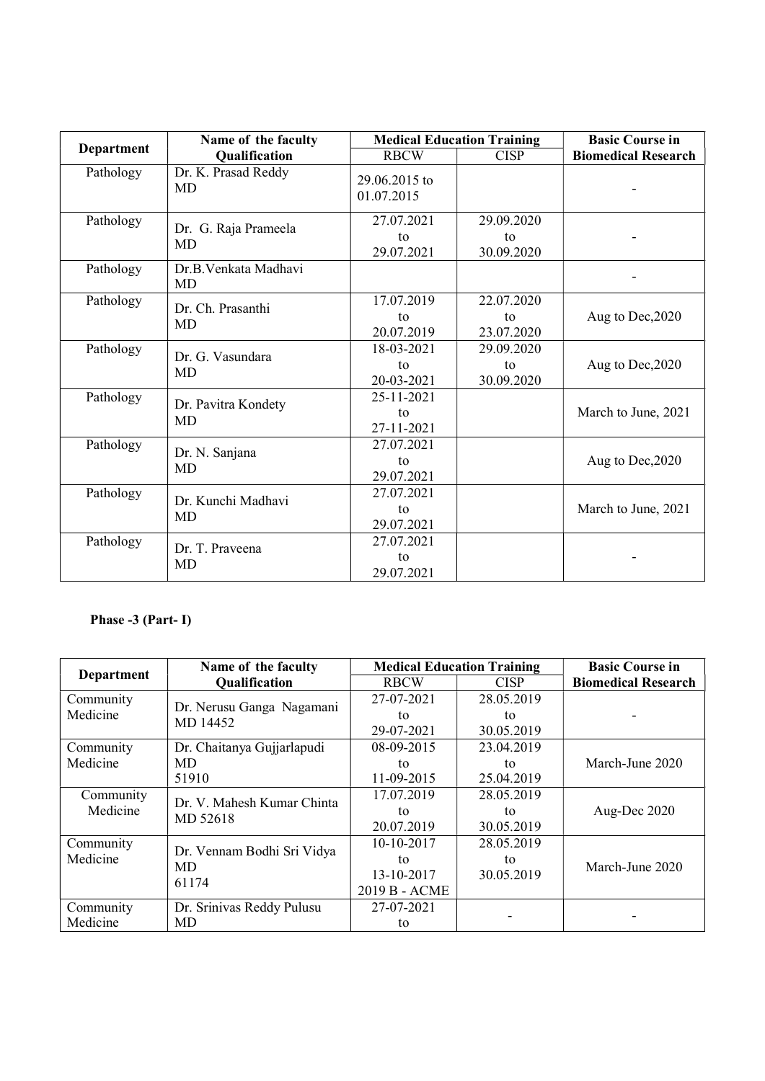|            | Name of the faculty               |                                | <b>Medical Education Training</b> |                            |
|------------|-----------------------------------|--------------------------------|-----------------------------------|----------------------------|
| Department | <b>Qualification</b>              | <b>RBCW</b>                    | <b>CISP</b>                       | <b>Biomedical Research</b> |
| Pathology  | Dr. K. Prasad Reddy<br>MD         | 29.06.2015 to<br>01.07.2015    |                                   |                            |
| Pathology  | Dr. G. Raja Prameela<br><b>MD</b> | 27.07.2021<br>to<br>29.07.2021 | 29.09.2020<br>to<br>30.09.2020    |                            |
| Pathology  | Dr.B.Venkata Madhavi<br>MD        |                                |                                   |                            |
| Pathology  | Dr. Ch. Prasanthi<br><b>MD</b>    | 17.07.2019<br>to<br>20.07.2019 | 22.07.2020<br>to<br>23.07.2020    | Aug to Dec, 2020           |
| Pathology  | Dr. G. Vasundara<br>MD            | 18-03-2021<br>to<br>20-03-2021 | 29.09.2020<br>to<br>30.09.2020    | Aug to Dec, 2020           |
| Pathology  | Dr. Pavitra Kondety<br>MD         | 25-11-2021<br>to<br>27-11-2021 |                                   | March to June, 2021        |
| Pathology  | Dr. N. Sanjana<br>MD              | 27.07.2021<br>to<br>29.07.2021 |                                   | Aug to Dec, 2020           |
| Pathology  | Dr. Kunchi Madhavi<br>MD          | 27.07.2021<br>to<br>29.07.2021 |                                   | March to June, 2021        |
| Pathology  | Dr. T. Praveena<br><b>MD</b>      | 27.07.2021<br>to<br>29.07.2021 |                                   |                            |

# Phase -3 (Part- I)

| <b>Department</b> | Name of the faculty        |               | <b>Medical Education Training</b> | <b>Basic Course in</b>     |
|-------------------|----------------------------|---------------|-----------------------------------|----------------------------|
|                   | <b>Qualification</b>       | <b>RBCW</b>   | <b>CISP</b>                       | <b>Biomedical Research</b> |
| Community         | Dr. Nerusu Ganga Nagamani  | 27-07-2021    | 28.05.2019                        |                            |
| Medicine          | MD 14452                   | tο            | to                                |                            |
|                   |                            | 29-07-2021    | 30.05.2019                        |                            |
| Community         | Dr. Chaitanya Gujjarlapudi | 08-09-2015    | 23.04.2019                        |                            |
| Medicine          | MD                         | to            | to                                | March-June 2020            |
|                   | 51910                      | 11-09-2015    | 25.04.2019                        |                            |
| Community         | Dr. V. Mahesh Kumar Chinta | 17.07.2019    | 28.05.2019                        |                            |
| Medicine          | MD 52618                   | tο            | to                                | Aug-Dec 2020               |
|                   |                            | 20.07.2019    | 30.05.2019                        |                            |
| Community         | Dr. Vennam Bodhi Sri Vidya | 10-10-2017    | 28.05.2019                        |                            |
| Medicine          | MD                         | tο            | to                                | March-June 2020            |
|                   | 61174                      | 13-10-2017    | 30.05.2019                        |                            |
|                   |                            | 2019 B - ACME |                                   |                            |
| Community         | Dr. Srinivas Reddy Pulusu  | 27-07-2021    |                                   |                            |
| Medicine          | MD                         | to            |                                   |                            |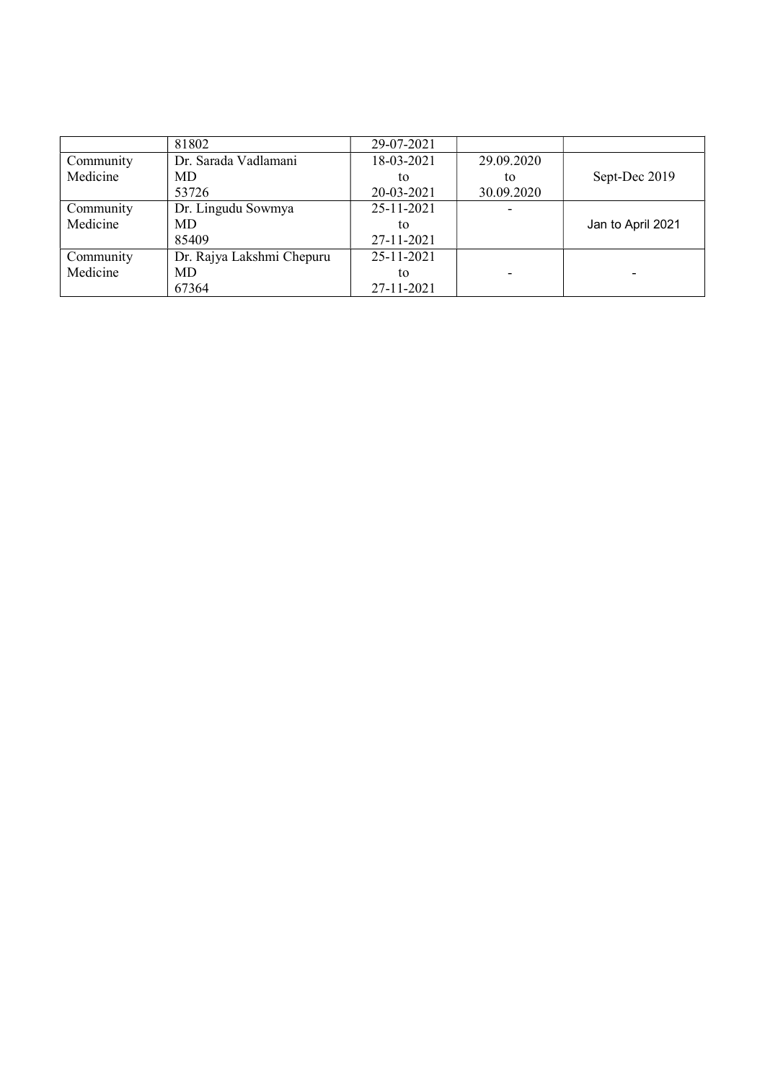|           | 81802                     | 29-07-2021 |            |                   |
|-----------|---------------------------|------------|------------|-------------------|
| Community | Dr. Sarada Vadlamani      | 18-03-2021 | 29.09.2020 |                   |
| Medicine  | MD                        | to         | tο         | Sept-Dec 2019     |
|           | 53726                     | 20-03-2021 | 30.09.2020 |                   |
| Community | Dr. Lingudu Sowmya        | 25-11-2021 |            |                   |
| Medicine  | MD                        | to         |            | Jan to April 2021 |
|           | 85409                     | 27-11-2021 |            |                   |
| Community | Dr. Rajya Lakshmi Chepuru | 25-11-2021 |            |                   |
| Medicine  | MD                        | to         |            |                   |
|           | 67364                     | 27-11-2021 |            |                   |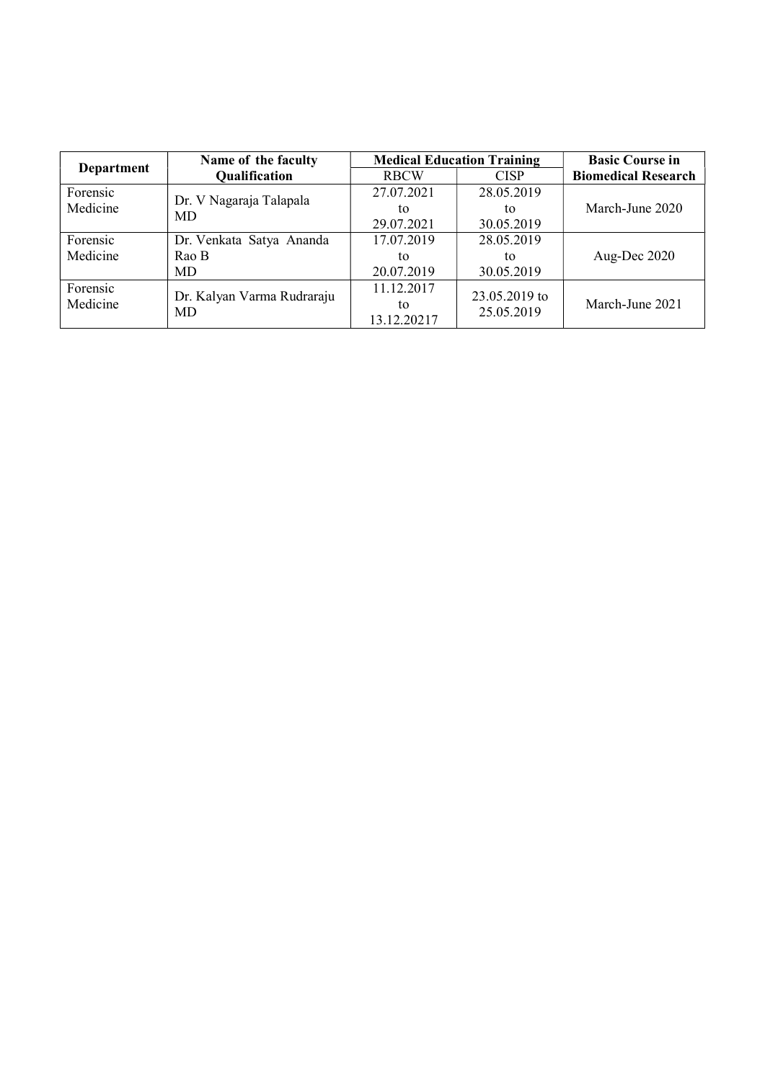| Name of the faculty |                            |                   | <b>Medical Education Training</b> | <b>Basic Course in</b>     |
|---------------------|----------------------------|-------------------|-----------------------------------|----------------------------|
| <b>Department</b>   | <b>Qualification</b>       | <b>RBCW</b>       | <b>CISP</b>                       | <b>Biomedical Research</b> |
| Forensic            | Dr. V Nagaraja Talapala    | 27.07.2021        | 28.05.2019                        |                            |
| Medicine            | MD                         | to                | to                                | March-June 2020            |
|                     |                            | 29.07.2021        | 30.05.2019                        |                            |
| Forensic            | Dr. Venkata Satya Ananda   | 17.07.2019        | 28.05.2019                        |                            |
| Medicine            | Rao B                      | to                | to                                | Aug-Dec 2020               |
|                     | MD                         | 20.07.2019        | 30.05.2019                        |                            |
| Forensic            | Dr. Kalyan Varma Rudraraju | 11.12.2017        | 23.05.2019 to                     |                            |
| Medicine            | MD                         | to<br>13.12.20217 | 25.05.2019                        | March-June 2021            |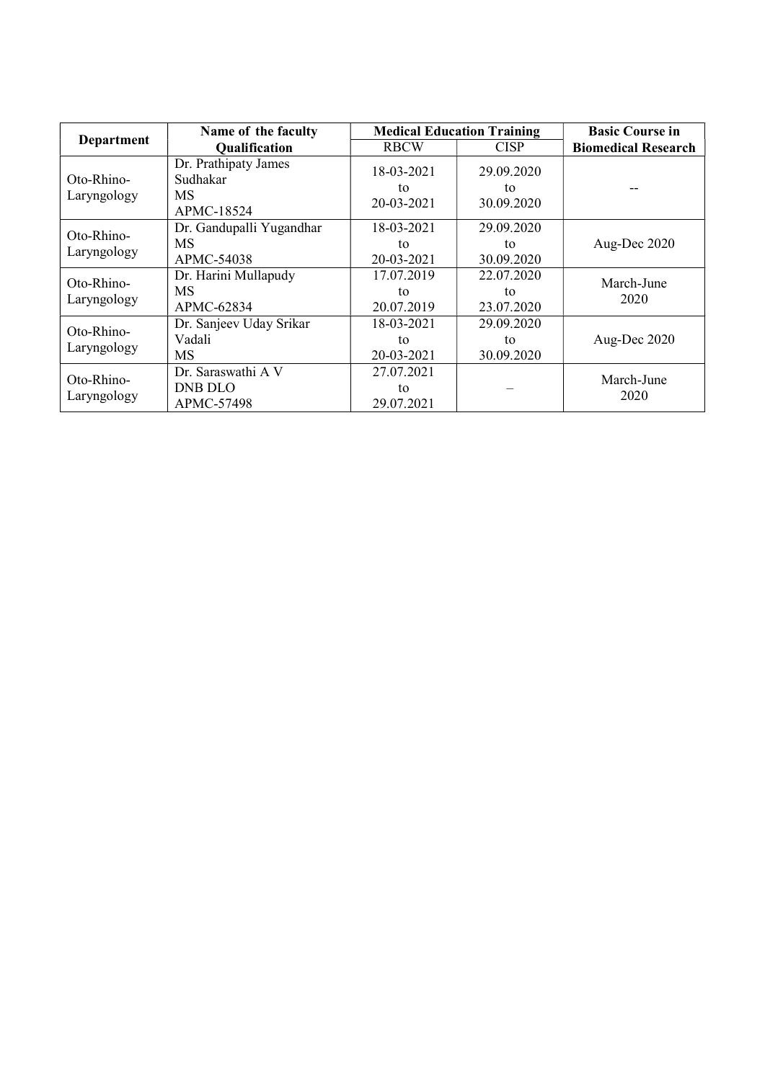|                           | Name of the faculty                                         |                                | <b>Medical Education Training</b> | <b>Basic Course in</b>     |
|---------------------------|-------------------------------------------------------------|--------------------------------|-----------------------------------|----------------------------|
| <b>Department</b>         | <b>Qualification</b>                                        | <b>RBCW</b>                    | <b>CISP</b>                       | <b>Biomedical Research</b> |
| Oto-Rhino-<br>Laryngology | Dr. Prathipaty James<br>Sudhakar<br><b>MS</b><br>APMC-18524 | 18-03-2021<br>tο<br>20-03-2021 | 29.09.2020<br>to<br>30.09.2020    |                            |
| Oto-Rhino-<br>Laryngology | Dr. Gandupalli Yugandhar<br><b>MS</b><br>APMC-54038         | 18-03-2021<br>to<br>20-03-2021 | 29.09.2020<br>to<br>30.09.2020    | Aug-Dec 2020               |
| Oto-Rhino-<br>Laryngology | Dr. Harini Mullapudy<br><b>MS</b><br>APMC-62834             | 17.07.2019<br>to<br>20.07.2019 | 22.07.2020<br>to<br>23.07.2020    | March-June<br>2020         |
| Oto-Rhino-<br>Laryngology | Dr. Sanjeev Uday Srikar<br>Vadali<br>MS                     | 18-03-2021<br>tο<br>20-03-2021 | 29.09.2020<br>tο<br>30.09.2020    | Aug-Dec 2020               |
| Oto-Rhino-<br>Laryngology | Dr. Saraswathi A V<br>DNB DLO<br>APMC-57498                 | 27.07.2021<br>tο<br>29.07.2021 |                                   | March-June<br>2020         |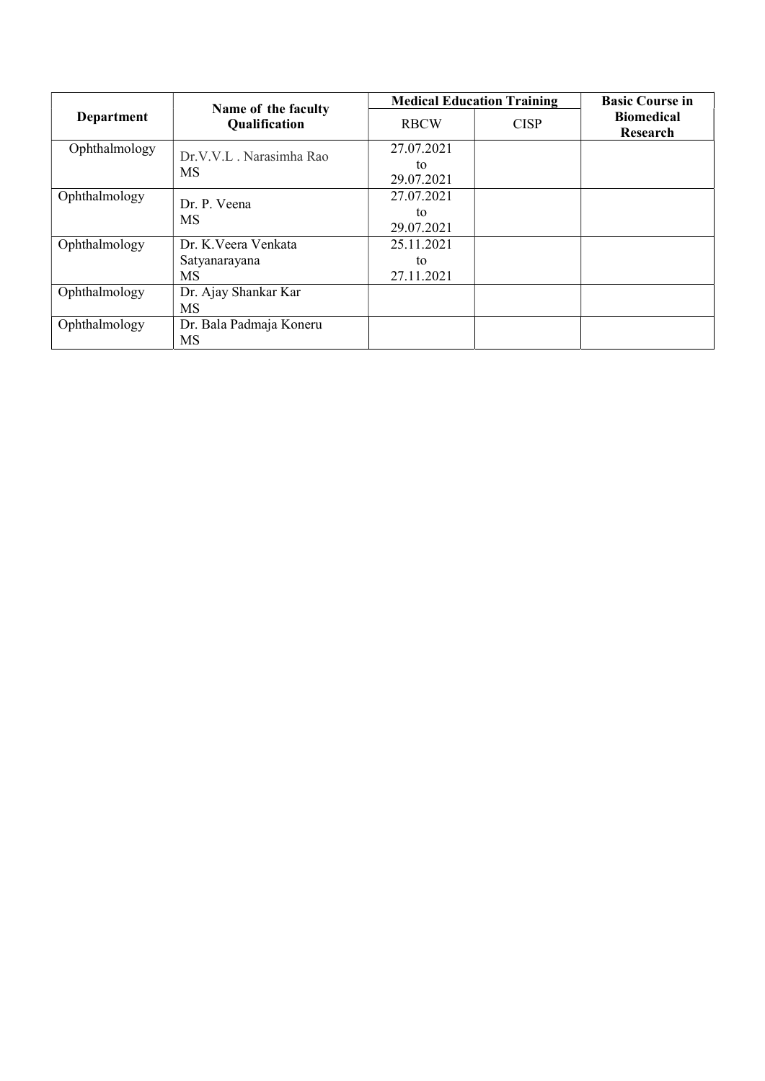|                   | Name of the faculty                  |             | <b>Medical Education Training</b> |                               |  |
|-------------------|--------------------------------------|-------------|-----------------------------------|-------------------------------|--|
| <b>Department</b> | <b>Qualification</b>                 | <b>RBCW</b> | <b>CISP</b>                       | <b>Biomedical</b><br>Research |  |
| Ophthalmology     |                                      | 27.07.2021  |                                   |                               |  |
|                   | Dr.V.V.L. Narasimha Rao<br><b>MS</b> | to          |                                   |                               |  |
|                   |                                      | 29.07.2021  |                                   |                               |  |
| Ophthalmology     |                                      | 27.07.2021  |                                   |                               |  |
|                   | Dr. P. Veena                         | to          |                                   |                               |  |
|                   | <b>MS</b>                            | 29.07.2021  |                                   |                               |  |
| Ophthalmology     | Dr. K. Veera Venkata                 | 25.11.2021  |                                   |                               |  |
|                   | Satyanarayana                        | to          |                                   |                               |  |
|                   | <b>MS</b>                            | 27.11.2021  |                                   |                               |  |
| Ophthalmology     | Dr. Ajay Shankar Kar                 |             |                                   |                               |  |
|                   | MS                                   |             |                                   |                               |  |
| Ophthalmology     | Dr. Bala Padmaja Koneru              |             |                                   |                               |  |
|                   | MS                                   |             |                                   |                               |  |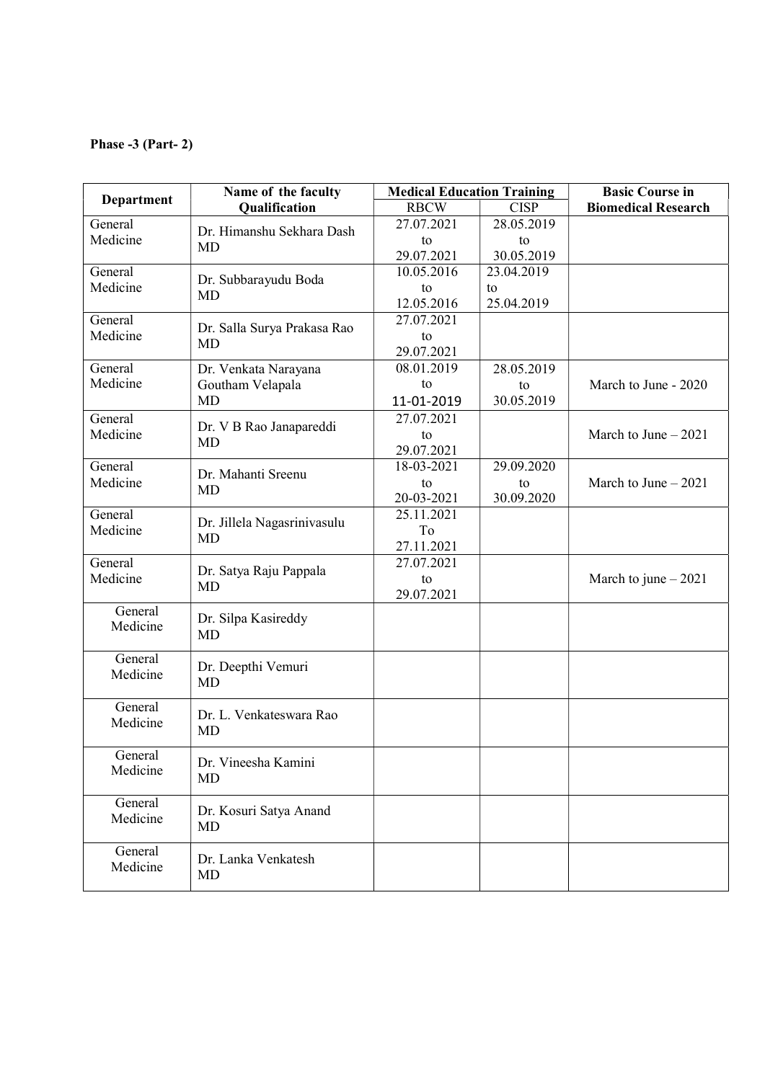## Phase -3 (Part- 2)

| Department | Name of the faculty         | <b>Medical Education Training</b> |             | <b>Basic Course in</b>     |
|------------|-----------------------------|-----------------------------------|-------------|----------------------------|
|            | Qualification               | <b>RBCW</b>                       | <b>CISP</b> | <b>Biomedical Research</b> |
| General    | Dr. Himanshu Sekhara Dash   | 27.07.2021                        | 28.05.2019  |                            |
| Medicine   | <b>MD</b>                   | to                                | to          |                            |
|            |                             | 29.07.2021                        | 30.05.2019  |                            |
| General    | Dr. Subbarayudu Boda        | 10.05.2016                        | 23.04.2019  |                            |
| Medicine   | <b>MD</b>                   | to                                | to          |                            |
|            |                             | 12.05.2016                        | 25.04.2019  |                            |
| General    | Dr. Salla Surya Prakasa Rao | 27.07.2021                        |             |                            |
| Medicine   | <b>MD</b>                   | to                                |             |                            |
|            |                             | 29.07.2021                        |             |                            |
| General    | Dr. Venkata Narayana        | 08.01.2019                        | 28.05.2019  |                            |
| Medicine   | Goutham Velapala            | to                                | to          | March to June - 2020       |
|            | <b>MD</b>                   | 11-01-2019                        | 30.05.2019  |                            |
| General    | Dr. V B Rao Janapareddi     | 27.07.2021                        |             |                            |
| Medicine   | MD                          | to                                |             | March to June $-2021$      |
|            |                             | 29.07.2021                        |             |                            |
| General    | Dr. Mahanti Sreenu          | 18-03-2021                        | 29.09.2020  |                            |
| Medicine   | MD                          | to                                | to          | March to June $-2021$      |
|            |                             | 20-03-2021                        | 30.09.2020  |                            |
| General    | Dr. Jillela Nagasrinivasulu | 25.11.2021                        |             |                            |
| Medicine   | <b>MD</b>                   | To                                |             |                            |
|            |                             | 27.11.2021                        |             |                            |
| General    | Dr. Satya Raju Pappala      | 27.07.2021                        |             |                            |
| Medicine   | <b>MD</b>                   | to<br>29.07.2021                  |             | March to june $-2021$      |
| General    |                             |                                   |             |                            |
| Medicine   | Dr. Silpa Kasireddy         |                                   |             |                            |
|            | <b>MD</b>                   |                                   |             |                            |
| General    |                             |                                   |             |                            |
| Medicine   | Dr. Deepthi Vemuri          |                                   |             |                            |
|            | <b>MD</b>                   |                                   |             |                            |
| General    |                             |                                   |             |                            |
| Medicine   | Dr. L. Venkateswara Rao     |                                   |             |                            |
|            | <b>MD</b>                   |                                   |             |                            |
| General    |                             |                                   |             |                            |
| Medicine   | Dr. Vineesha Kamini         |                                   |             |                            |
|            | <b>MD</b>                   |                                   |             |                            |
| General    |                             |                                   |             |                            |
| Medicine   | Dr. Kosuri Satya Anand      |                                   |             |                            |
|            | MD                          |                                   |             |                            |
| General    | Dr. Lanka Venkatesh         |                                   |             |                            |
| Medicine   | <b>MD</b>                   |                                   |             |                            |
|            |                             |                                   |             |                            |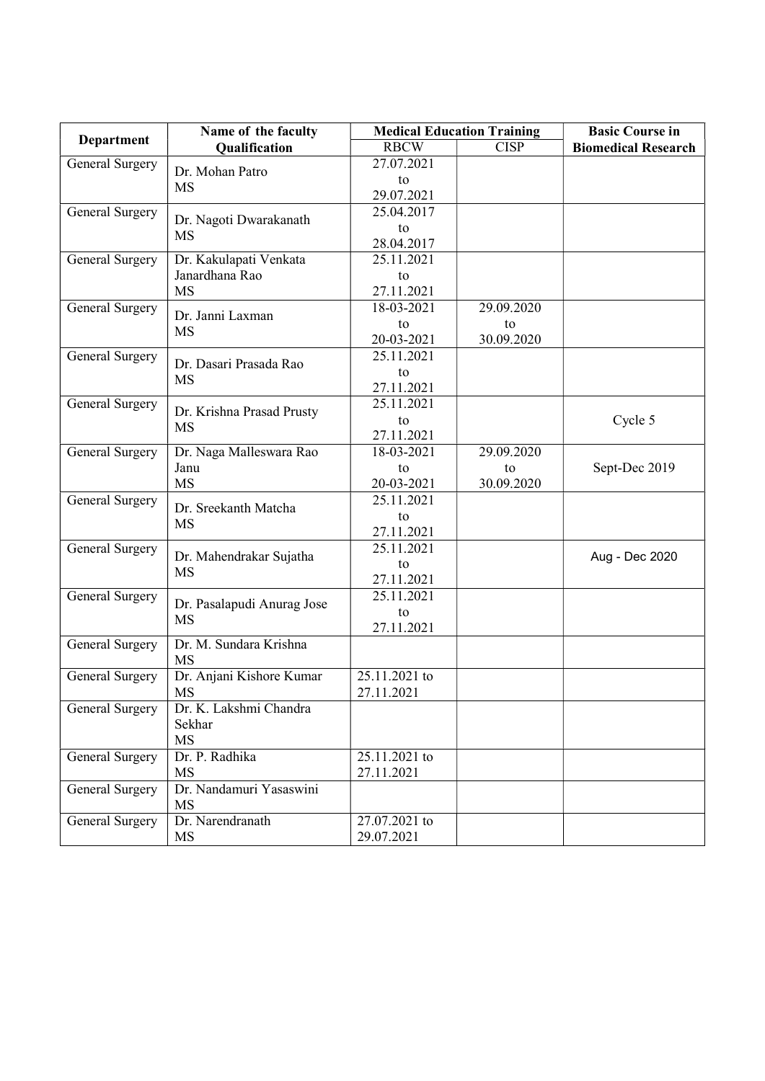|                         | <b>Medical Education Training</b>                                                                                                                                                                                                                                                                                                                                                                 |                                             | <b>Basic Course in</b>     |
|-------------------------|---------------------------------------------------------------------------------------------------------------------------------------------------------------------------------------------------------------------------------------------------------------------------------------------------------------------------------------------------------------------------------------------------|---------------------------------------------|----------------------------|
| Qualification           | <b>RBCW</b>                                                                                                                                                                                                                                                                                                                                                                                       | <b>CISP</b>                                 | <b>Biomedical Research</b> |
|                         | 27.07.2021                                                                                                                                                                                                                                                                                                                                                                                        |                                             |                            |
|                         | to                                                                                                                                                                                                                                                                                                                                                                                                |                                             |                            |
|                         | 29.07.2021                                                                                                                                                                                                                                                                                                                                                                                        |                                             |                            |
|                         | 25.04.2017                                                                                                                                                                                                                                                                                                                                                                                        |                                             |                            |
|                         | to                                                                                                                                                                                                                                                                                                                                                                                                |                                             |                            |
|                         | 28.04.2017                                                                                                                                                                                                                                                                                                                                                                                        |                                             |                            |
| Dr. Kakulapati Venkata  | 25.11.2021                                                                                                                                                                                                                                                                                                                                                                                        |                                             |                            |
| Janardhana Rao          | to                                                                                                                                                                                                                                                                                                                                                                                                |                                             |                            |
| <b>MS</b>               | 27.11.2021                                                                                                                                                                                                                                                                                                                                                                                        |                                             |                            |
|                         | 18-03-2021                                                                                                                                                                                                                                                                                                                                                                                        | 29.09.2020                                  |                            |
|                         | to                                                                                                                                                                                                                                                                                                                                                                                                | to                                          |                            |
|                         | 20-03-2021                                                                                                                                                                                                                                                                                                                                                                                        | 30.09.2020                                  |                            |
|                         | 25.11.2021                                                                                                                                                                                                                                                                                                                                                                                        |                                             |                            |
|                         | to                                                                                                                                                                                                                                                                                                                                                                                                |                                             |                            |
|                         | 27.11.2021                                                                                                                                                                                                                                                                                                                                                                                        |                                             |                            |
|                         | 25.11.2021                                                                                                                                                                                                                                                                                                                                                                                        |                                             |                            |
| MS                      | to                                                                                                                                                                                                                                                                                                                                                                                                |                                             | Cycle 5                    |
|                         | 27.11.2021                                                                                                                                                                                                                                                                                                                                                                                        |                                             |                            |
|                         | $\overline{18} - 03 - 2021$                                                                                                                                                                                                                                                                                                                                                                       | 29.09.2020                                  |                            |
| Janu                    | to                                                                                                                                                                                                                                                                                                                                                                                                | to                                          | Sept-Dec 2019              |
| <b>MS</b>               | 20-03-2021                                                                                                                                                                                                                                                                                                                                                                                        | 30.09.2020                                  |                            |
|                         | 25.11.2021                                                                                                                                                                                                                                                                                                                                                                                        |                                             |                            |
|                         | to                                                                                                                                                                                                                                                                                                                                                                                                |                                             |                            |
|                         | 27.11.2021                                                                                                                                                                                                                                                                                                                                                                                        |                                             |                            |
|                         | 25.11.2021                                                                                                                                                                                                                                                                                                                                                                                        |                                             |                            |
|                         | to                                                                                                                                                                                                                                                                                                                                                                                                |                                             | Aug - Dec 2020             |
|                         | 27.11.2021                                                                                                                                                                                                                                                                                                                                                                                        |                                             |                            |
|                         |                                                                                                                                                                                                                                                                                                                                                                                                   |                                             |                            |
|                         | to                                                                                                                                                                                                                                                                                                                                                                                                |                                             |                            |
|                         | 27.11.2021                                                                                                                                                                                                                                                                                                                                                                                        |                                             |                            |
| Dr. M. Sundara Krishna  |                                                                                                                                                                                                                                                                                                                                                                                                   |                                             |                            |
| <b>MS</b>               |                                                                                                                                                                                                                                                                                                                                                                                                   |                                             |                            |
|                         | 25.11.2021 to                                                                                                                                                                                                                                                                                                                                                                                     |                                             |                            |
| <b>MS</b>               | 27.11.2021                                                                                                                                                                                                                                                                                                                                                                                        |                                             |                            |
|                         |                                                                                                                                                                                                                                                                                                                                                                                                   |                                             |                            |
| Sekhar                  |                                                                                                                                                                                                                                                                                                                                                                                                   |                                             |                            |
| MS                      |                                                                                                                                                                                                                                                                                                                                                                                                   |                                             |                            |
| Dr. P. Radhika          | 25.11.2021 to                                                                                                                                                                                                                                                                                                                                                                                     |                                             |                            |
| <b>MS</b>               |                                                                                                                                                                                                                                                                                                                                                                                                   |                                             |                            |
| Dr. Nandamuri Yasaswini |                                                                                                                                                                                                                                                                                                                                                                                                   |                                             |                            |
| MS                      |                                                                                                                                                                                                                                                                                                                                                                                                   |                                             |                            |
| Dr. Narendranath        |                                                                                                                                                                                                                                                                                                                                                                                                   |                                             |                            |
| MS                      | 29.07.2021                                                                                                                                                                                                                                                                                                                                                                                        |                                             |                            |
|                         | Name of the faculty<br>Dr. Mohan Patro<br><b>MS</b><br>Dr. Nagoti Dwarakanath<br><b>MS</b><br>Dr. Janni Laxman<br><b>MS</b><br>Dr. Dasari Prasada Rao<br>MS<br>Dr. Krishna Prasad Prusty<br>Dr. Naga Malleswara Rao<br>Dr. Sreekanth Matcha<br><b>MS</b><br>Dr. Mahendrakar Sujatha<br><b>MS</b><br>Dr. Pasalapudi Anurag Jose<br><b>MS</b><br>Dr. Anjani Kishore Kumar<br>Dr. K. Lakshmi Chandra | 25.11.2021<br>27.11.2021<br>$27.07.2021$ to |                            |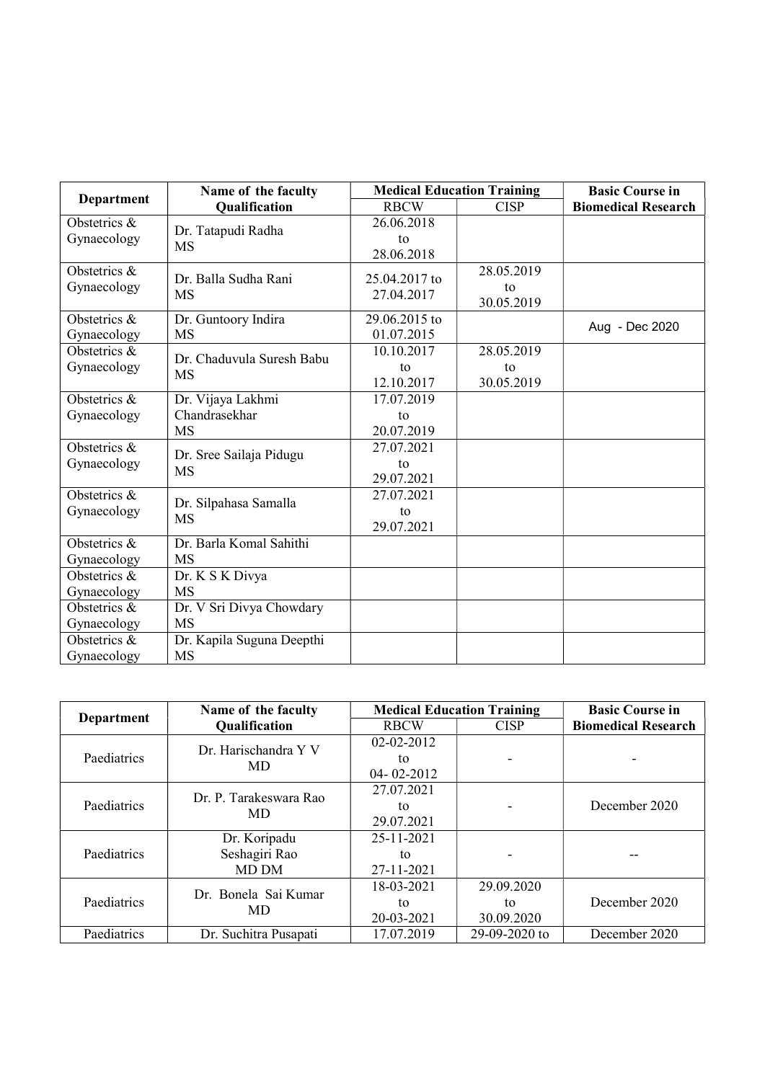|                             | Name of the faculty                             | <b>Medical Education Training</b> |                                | <b>Basic Course in</b>     |
|-----------------------------|-------------------------------------------------|-----------------------------------|--------------------------------|----------------------------|
| <b>Department</b>           | Qualification                                   | <b>RBCW</b>                       | <b>CISP</b>                    | <b>Biomedical Research</b> |
| Obstetrics &<br>Gynaecology | Dr. Tatapudi Radha<br><b>MS</b>                 | 26.06.2018<br>to<br>28.06.2018    |                                |                            |
| Obstetrics &<br>Gynaecology | Dr. Balla Sudha Rani<br><b>MS</b>               | 25.04.2017 to<br>27.04.2017       | 28.05.2019<br>to<br>30.05.2019 |                            |
| Obstetrics &<br>Gynaecology | Dr. Guntoory Indira<br><b>MS</b>                | 29.06.2015 to<br>01.07.2015       |                                | Aug - Dec 2020             |
| Obstetrics &<br>Gynaecology | Dr. Chaduvula Suresh Babu<br><b>MS</b>          | 10.10.2017<br>to<br>12.10.2017    | 28.05.2019<br>to<br>30.05.2019 |                            |
| Obstetrics &<br>Gynaecology | Dr. Vijaya Lakhmi<br>Chandrasekhar<br><b>MS</b> | 17.07.2019<br>to<br>20.07.2019    |                                |                            |
| Obstetrics &<br>Gynaecology | Dr. Sree Sailaja Pidugu<br><b>MS</b>            | 27.07.2021<br>to<br>29.07.2021    |                                |                            |
| Obstetrics &<br>Gynaecology | Dr. Silpahasa Samalla<br><b>MS</b>              | 27.07.2021<br>to<br>29.07.2021    |                                |                            |
| Obstetrics &<br>Gynaecology | Dr. Barla Komal Sahithi<br><b>MS</b>            |                                   |                                |                            |
| Obstetrics &<br>Gynaecology | Dr. K S K Divya<br><b>MS</b>                    |                                   |                                |                            |
| Obstetrics &<br>Gynaecology | Dr. V Sri Divya Chowdary<br><b>MS</b>           |                                   |                                |                            |
| Obstetrics &<br>Gynaecology | Dr. Kapila Suguna Deepthi<br>MS                 |                                   |                                |                            |

|             | Name of the faculty        | <b>Medical Education Training</b> | <b>Basic Course in</b> |                            |
|-------------|----------------------------|-----------------------------------|------------------------|----------------------------|
| Department  | <b>Qualification</b>       | <b>RBCW</b>                       | <b>CISP</b>            | <b>Biomedical Research</b> |
|             | Dr. Harischandra Y V       | 02-02-2012                        |                        |                            |
| Paediatrics | MD                         | tο                                |                        |                            |
|             |                            | $04 - 02 - 2012$                  |                        |                            |
|             | Dr. P. Tarakeswara Rao     | 27.07.2021                        |                        |                            |
| Paediatrics | MD.                        | tο                                |                        | December 2020              |
|             |                            | 29.07.2021                        |                        |                            |
|             | Dr. Koripadu               | 25-11-2021                        |                        |                            |
| Paediatrics | Seshagiri Rao              | tο                                |                        |                            |
|             | MD DM                      | 27-11-2021                        |                        |                            |
| Paediatrics | Dr. Bonela Sai Kumar<br>MD | 18-03-2021                        | 29.09.2020             |                            |
|             |                            | tο                                | tο                     | December 2020              |
|             |                            | 20-03-2021                        | 30.09.2020             |                            |
| Paediatrics | Dr. Suchitra Pusapati      | 17.07.2019                        | 29-09-2020 to          | December 2020              |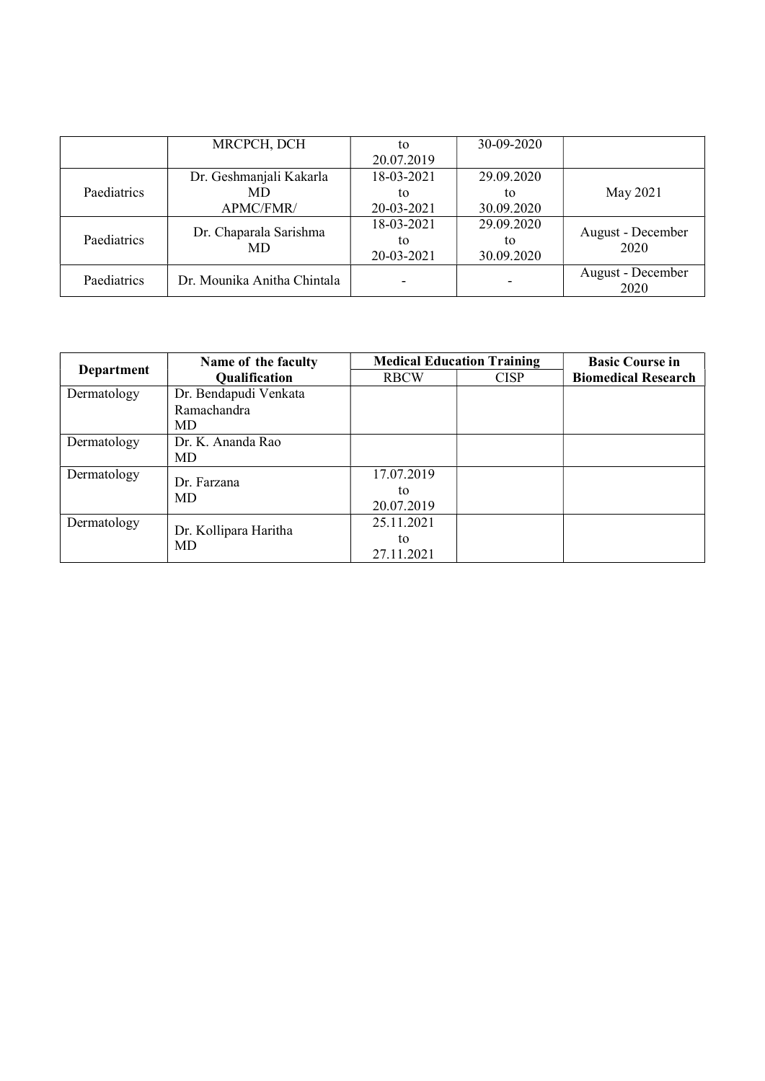|             | MRCPCH, DCH                 | tο         | 30-09-2020 |                   |
|-------------|-----------------------------|------------|------------|-------------------|
|             |                             | 20.07.2019 |            |                   |
|             | Dr. Geshmanjali Kakarla     | 18-03-2021 | 29.09.2020 |                   |
| Paediatrics | MD                          | to         | tο         | May 2021          |
|             | APMC/FMR/                   | 20-03-2021 | 30.09.2020 |                   |
|             | Dr. Chaparala Sarishma      | 18-03-2021 | 29.09.2020 | August - December |
| Paediatrics | MD                          | to         | tο         | 2020              |
|             |                             | 20-03-2021 | 30.09.2020 |                   |
| Paediatrics | Dr. Mounika Anitha Chintala |            |            | August - December |
|             |                             |            |            | 2020              |

|             | Name of the faculty         | <b>Medical Education Training</b> | <b>Basic Course in</b> |                            |
|-------------|-----------------------------|-----------------------------------|------------------------|----------------------------|
| Department  | <b>Qualification</b>        | <b>RBCW</b>                       | <b>CISP</b>            | <b>Biomedical Research</b> |
| Dermatology | Dr. Bendapudi Venkata       |                                   |                        |                            |
|             | Ramachandra                 |                                   |                        |                            |
|             | MD                          |                                   |                        |                            |
| Dermatology | Dr. K. Ananda Rao           |                                   |                        |                            |
|             | MD                          |                                   |                        |                            |
| Dermatology | Dr. Farzana<br>MD           | 17.07.2019                        |                        |                            |
|             |                             | to                                |                        |                            |
|             |                             | 20.07.2019                        |                        |                            |
| Dermatology |                             | 25.11.2021                        |                        |                            |
|             | Dr. Kollipara Haritha<br>MD | to                                |                        |                            |
|             |                             | 27.11.2021                        |                        |                            |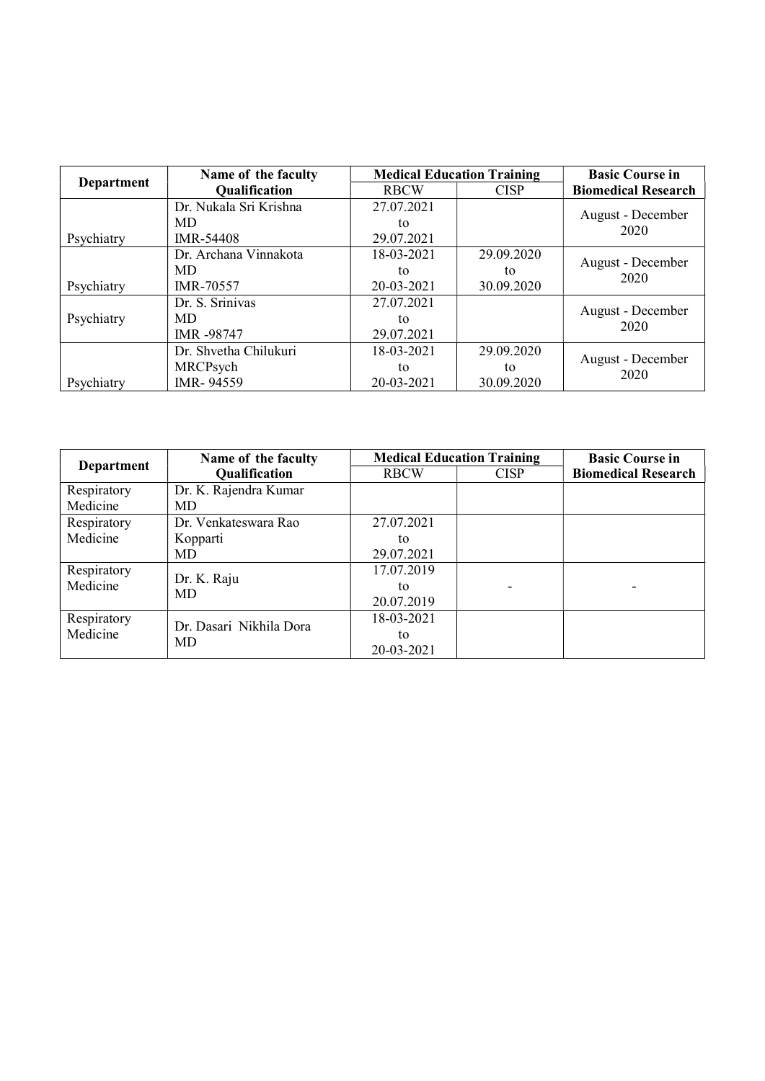|                   | Name of the faculty    | <b>Medical Education Training</b> |             | <b>Basic Course in</b>     |
|-------------------|------------------------|-----------------------------------|-------------|----------------------------|
| <b>Department</b> | Qualification          | <b>RBCW</b>                       | <b>CISP</b> | <b>Biomedical Research</b> |
|                   | Dr. Nukala Sri Krishna | 27.07.2021                        |             | August - December          |
|                   | MD                     | to                                |             | 2020                       |
| Psychiatry        | IMR-54408              | 29.07.2021                        |             |                            |
|                   | Dr. Archana Vinnakota  | 18-03-2021                        | 29.09.2020  | August - December          |
|                   | MD                     | tο                                | to          | 2020                       |
| Psychiatry        | IMR-70557              | 20-03-2021                        | 30.09.2020  |                            |
|                   | Dr. S. Srinivas        | 27.07.2021                        |             |                            |
| Psychiatry        | MD                     | tο                                |             | August - December<br>2020  |
|                   | IMR -98747             | 29.07.2021                        |             |                            |
|                   | Dr. Shvetha Chilukuri  | 18-03-2021                        | 29.09.2020  |                            |
|                   | MRCPsych               | tο                                | tο          | August - December<br>2020  |
| Psychiatry        | IMR-94559              | 20-03-2021                        | 30.09.2020  |                            |

|             | Name of the faculty     | <b>Medical Education Training</b> | <b>Basic Course in</b> |                            |
|-------------|-------------------------|-----------------------------------|------------------------|----------------------------|
| Department  | Qualification           | <b>RBCW</b>                       | <b>CISP</b>            | <b>Biomedical Research</b> |
| Respiratory | Dr. K. Rajendra Kumar   |                                   |                        |                            |
| Medicine    | <b>MD</b>               |                                   |                        |                            |
| Respiratory | Dr. Venkateswara Rao    | 27.07.2021                        |                        |                            |
| Medicine    | Kopparti                | to                                |                        |                            |
|             | <b>MD</b>               | 29.07.2021                        |                        |                            |
| Respiratory | Dr. K. Raju             | 17.07.2019                        |                        |                            |
| Medicine    | <b>MD</b>               | to                                |                        |                            |
|             |                         | 20.07.2019                        |                        |                            |
| Respiratory | Dr. Dasari Nikhila Dora | 18-03-2021                        |                        |                            |
| Medicine    | <b>MD</b>               | to                                |                        |                            |
|             |                         | 20-03-2021                        |                        |                            |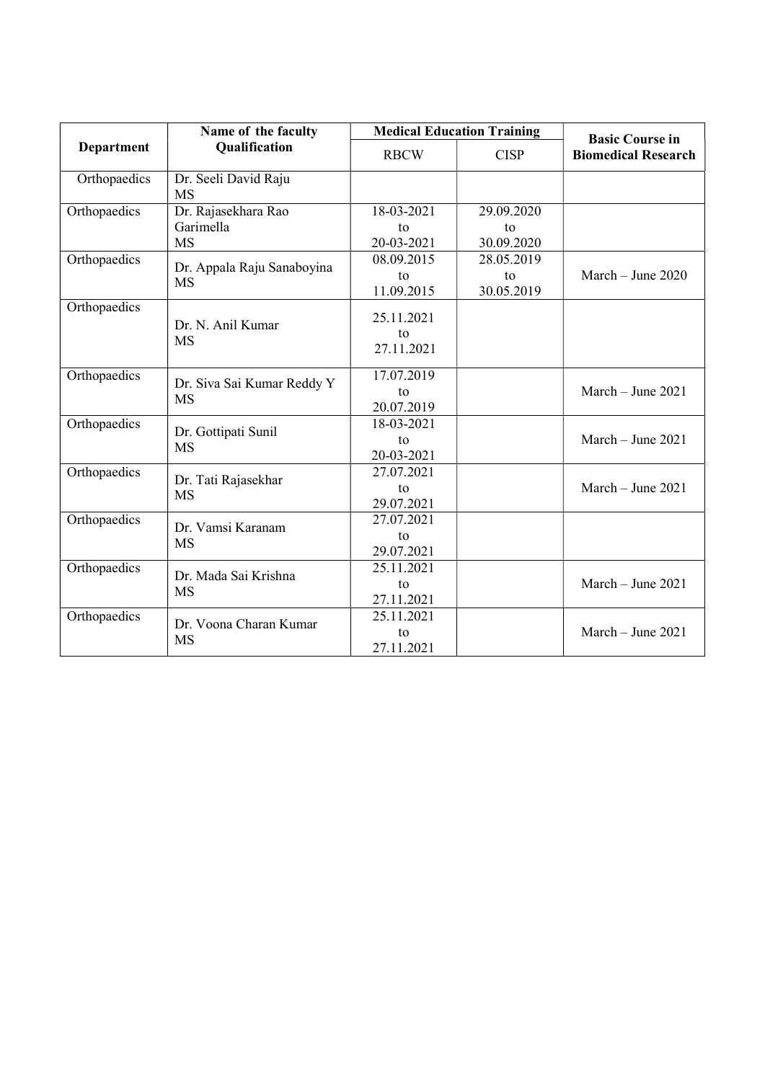|              | Name of the faculty<br><b>Qualification</b> |                  | <b>Medical Education Training</b> | <b>Basic Course in</b>     |
|--------------|---------------------------------------------|------------------|-----------------------------------|----------------------------|
| Department   |                                             | <b>RBCW</b>      | <b>CISP</b>                       | <b>Biomedical Research</b> |
| Orthopaedics | Dr. Seeli David Raju<br><b>MS</b>           |                  |                                   |                            |
| Orthopaedics | Dr. Rajasekhara Rao                         | 18-03-2021       | 29.09.2020                        |                            |
|              | Garimella                                   | to               | to                                |                            |
|              | <b>MS</b>                                   | 20-03-2021       | 30.09.2020                        |                            |
| Orthopaedics | Dr. Appala Raju Sanaboyina                  | 08.09.2015       | 28.05.2019                        |                            |
|              | <b>MS</b>                                   | to<br>11.09.2015 | to<br>30.05.2019                  | March - June 2020          |
| Orthopaedics | Dr. N. Anil Kumar<br><b>MS</b>              | 25.11.2021<br>to |                                   |                            |
|              |                                             | 27.11.2021       |                                   |                            |
| Orthopaedics | Dr. Siva Sai Kumar Reddy Y<br><b>MS</b>     | 17.07.2019       |                                   |                            |
|              |                                             | to<br>20.07.2019 |                                   | March $-$ June 2021        |
| Orthopaedics |                                             | 18-03-2021       |                                   |                            |
|              | Dr. Gottipati Sunil<br><b>MS</b>            | to               |                                   | March - June 2021          |
|              |                                             | 20-03-2021       |                                   |                            |
| Orthopaedics | Dr. Tati Rajasekhar                         | 27.07.2021       |                                   |                            |
|              | <b>MS</b>                                   | to<br>29.07.2021 |                                   | March - June 2021          |
| Orthopaedics |                                             | 27.07.2021       |                                   |                            |
|              | Dr. Vamsi Karanam                           | to               |                                   |                            |
|              | <b>MS</b>                                   | 29.07.2021       |                                   |                            |
| Orthopaedics | Dr. Mada Sai Krishna                        | 25.11.2021       |                                   |                            |
|              | <b>MS</b>                                   | to               |                                   | March - June 2021          |
|              |                                             | 27.11.2021       |                                   |                            |
| Orthopaedics | Dr. Voona Charan Kumar                      | 25.11.2021       |                                   |                            |
|              | <b>MS</b>                                   | to               |                                   | March - June 2021          |
|              |                                             | 27.11.2021       |                                   |                            |